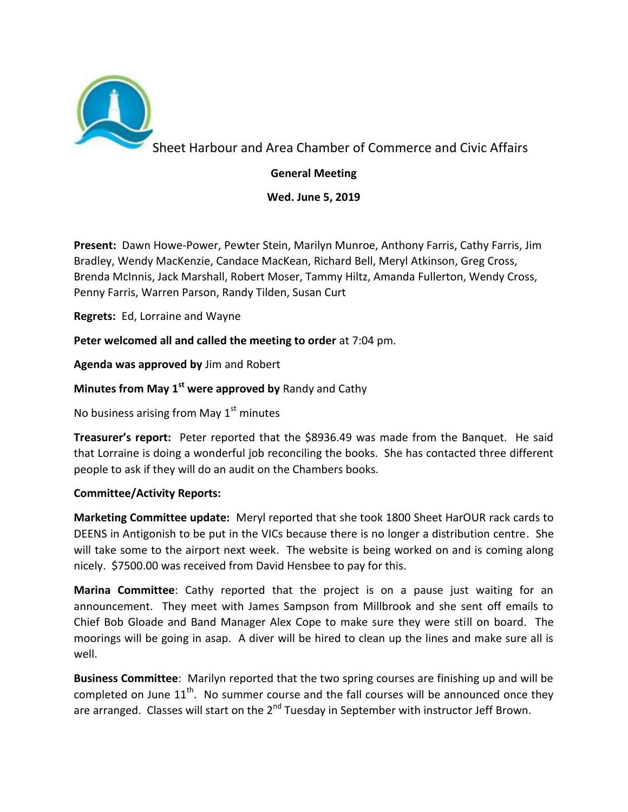

Sheet Harbour and Area Chamber of Commerce and Civic Affairs

**General Meeting** 

**Wed. June 5, 2019** 

**Present:** Dawn Howe-Power, Pewter Stein, Marilyn Munroe, Anthony Farris, Cathy Farris, Jim Bradley, Wendy MacKenzie, Candace MacKean, Richard Bell, Meryl Atkinson, Greg Cross, Brenda McInnis, Jack Marshall, Robert Moser, Tammy Hiltz, Amanda Fullerton, Wendy Cross, Penny Farris, Warren Parson, Randy Tilden, Susan Curt

**Regrets:** Ed, Lorraine and Wayne

**Peter welcomed all and called the meeting to order** at 7:04 pm.

**Agenda was approved by** Jim and Robert

## **Minutes from May 1st were approved by** Randy and Cathy

No business arising from May  $1<sup>st</sup>$  minutes

**Treasurer's report:** Peter reported that the \$8936.49 was made from the Banquet. He said that Lorraine is doing a wonderful job reconciling the books. She has contacted three different people to ask if they will do an audit on the Chambers books.

## **Committee/Activity Reports:**

**Marketing Committee update:** Meryl reported that she took 1800 Sheet HarOUR rack cards to DEENS in Antigonish to be put in the VICs because there is no longer a distribution centre. She will take some to the airport next week. The website is being worked on and is coming along nicely. \$7500.00 was received from David Hensbee to pay for this.

**Marina Committee**: Cathy reported that the project is on a pause just waiting for an announcement. They meet with James Sampson from Millbrook and she sent off emails to Chief Bob Gloade and Band Manager Alex Cope to make sure they were still on board. The moorings will be going in asap. A diver will be hired to clean up the lines and make sure all is well.

**Business Committee**: Marilyn reported that the two spring courses are finishing up and will be completed on June  $11<sup>th</sup>$ . No summer course and the fall courses will be announced once they are arranged. Classes will start on the  $2<sup>nd</sup>$  Tuesday in September with instructor Jeff Brown.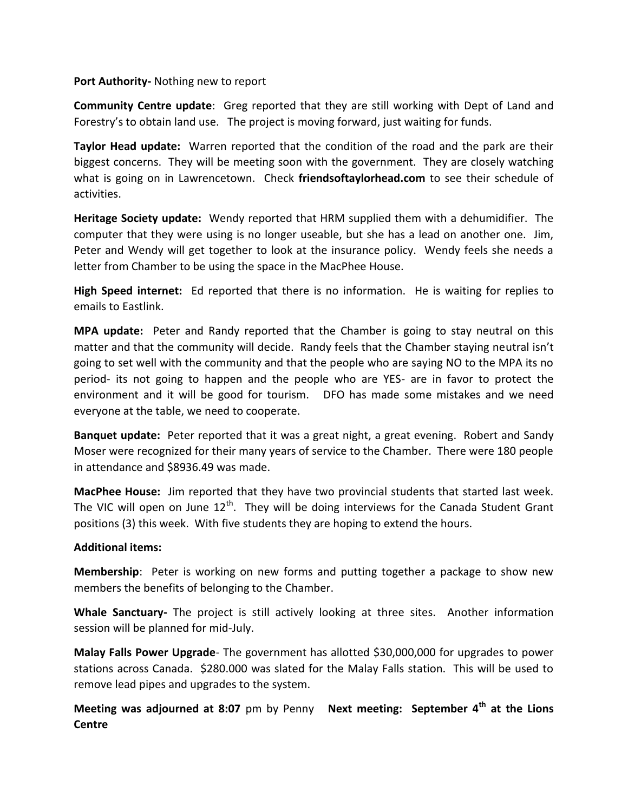## **Port Authority-** Nothing new to report

**Community Centre update**: Greg reported that they are still working with Dept of Land and Forestry's to obtain land use. The project is moving forward, just waiting for funds.

**Taylor Head update:** Warren reported that the condition of the road and the park are their biggest concerns. They will be meeting soon with the government. They are closely watching what is going on in Lawrencetown. Check **friendsoftaylorhead.com** to see their schedule of activities.

**Heritage Society update:** Wendy reported that HRM supplied them with a dehumidifier. The computer that they were using is no longer useable, but she has a lead on another one. Jim, Peter and Wendy will get together to look at the insurance policy. Wendy feels she needs a letter from Chamber to be using the space in the MacPhee House.

**High Speed internet:** Ed reported that there is no information. He is waiting for replies to emails to Eastlink.

**MPA update:** Peter and Randy reported that the Chamber is going to stay neutral on this matter and that the community will decide. Randy feels that the Chamber staying neutral isn't going to set well with the community and that the people who are saying NO to the MPA its no period- its not going to happen and the people who are YES- are in favor to protect the environment and it will be good for tourism. DFO has made some mistakes and we need everyone at the table, we need to cooperate.

**Banquet update:** Peter reported that it was a great night, a great evening. Robert and Sandy Moser were recognized for their many years of service to the Chamber. There were 180 people in attendance and \$8936.49 was made.

**MacPhee House:** Jim reported that they have two provincial students that started last week. The VIC will open on June  $12<sup>th</sup>$ . They will be doing interviews for the Canada Student Grant positions (3) this week. With five students they are hoping to extend the hours.

## **Additional items:**

**Membership**: Peter is working on new forms and putting together a package to show new members the benefits of belonging to the Chamber.

**Whale Sanctuary-** The project is still actively looking at three sites. Another information session will be planned for mid-July.

**Malay Falls Power Upgrade**- The government has allotted \$30,000,000 for upgrades to power stations across Canada. \$280.000 was slated for the Malay Falls station. This will be used to remove lead pipes and upgrades to the system.

**Meeting was adjourned at 8:07** pm by Penny **Next meeting: September 4th at the Lions Centre**